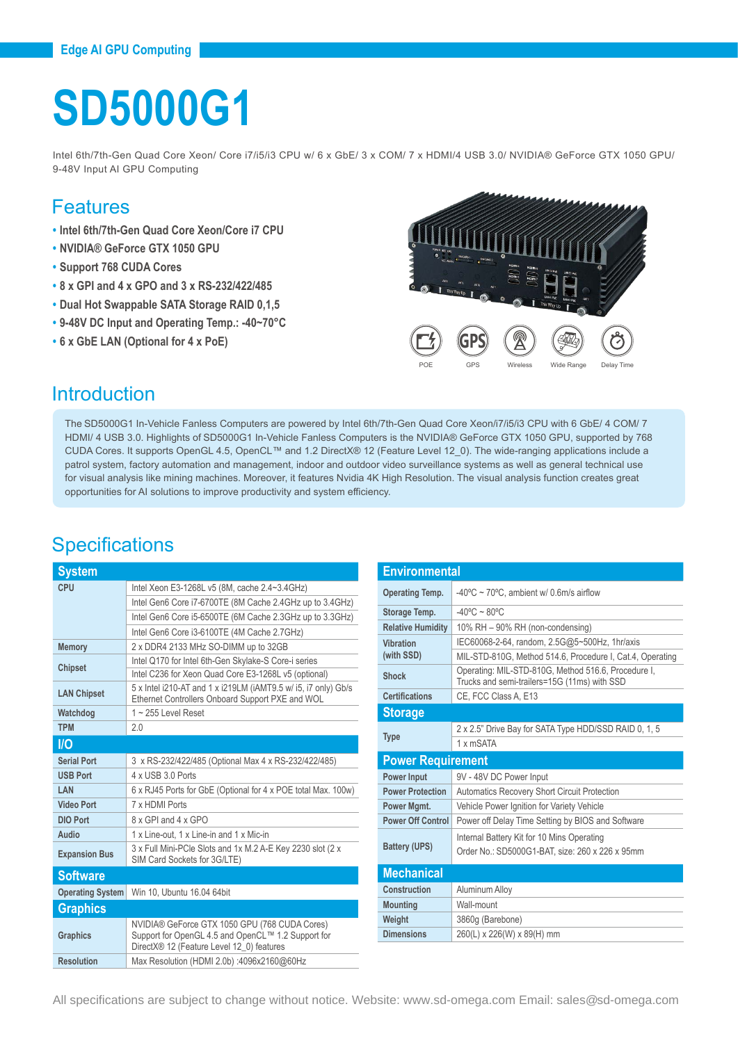# **SD5000G1**

Intel 6th/7th-Gen Quad Core Xeon/ Core i7/i5/i3 CPU w/ 6 x GbE/ 3 x COM/ 7 x HDMI/4 USB 3.0/ NVIDIA® GeForce GTX 1050 GPU/ 9-48V Input AI GPU Computing

#### Features

- **• Intel 6th/7th-Gen Quad Core Xeon/Core i7 CPU**
- **• NVIDIA® GeForce GTX 1050 GPU**
- **• Support 768 CUDA Cores**
- **• 8 x GPI and 4 x GPO and 3 x RS-232/422/485**
- **• Dual Hot Swappable SATA Storage RAID 0,1,5**
- **• 9-48V DC Input and Operating Temp.: -40~70°C**
- **• 6 x GbE LAN (Optional for 4 x PoE)**



### Introduction

The SD5000G1 In-Vehicle Fanless Computers are powered by Intel 6th/7th-Gen Quad Core Xeon/i7/i5/i3 CPU with 6 GbE/ 4 COM/ 7 HDMI/ 4 USB 3.0. Highlights of SD5000G1 In-Vehicle Fanless Computers is the NVIDIA® GeForce GTX 1050 GPU, supported by 768 CUDA Cores. It supports OpenGL 4.5, OpenCL™ and 1.2 DirectX® 12 (Feature Level 12\_0). The wide-ranging applications include a patrol system, factory automation and management, indoor and outdoor video surveillance systems as well as general technical use for visual analysis like mining machines. Moreover, it features Nvidia 4K High Resolution. The visual analysis function creates great opportunities for AI solutions to improve productivity and system efficiency.

## **Specifications**

| <b>System</b>           |                                                                                                                                                  |  |
|-------------------------|--------------------------------------------------------------------------------------------------------------------------------------------------|--|
| CPU                     | Intel Xeon E3-1268L v5 (8M, cache 2.4~3.4GHz)                                                                                                    |  |
|                         | Intel Gen6 Core i7-6700TE (8M Cache 2.4GHz up to 3.4GHz)                                                                                         |  |
|                         | Intel Gen6 Core i5-6500TE (6M Cache 2.3GHz up to 3.3GHz)                                                                                         |  |
|                         | Intel Gen6 Core i3-6100TE (4M Cache 2.7GHz)                                                                                                      |  |
| <b>Memory</b>           | 2 x DDR4 2133 MHz SO-DIMM up to 32GB                                                                                                             |  |
| <b>Chipset</b>          | Intel Q170 for Intel 6th-Gen Skylake-S Core-i series                                                                                             |  |
|                         | Intel C236 for Xeon Quad Core E3-1268L v5 (optional)                                                                                             |  |
| <b>LAN Chipset</b>      | 5 x Intel i210-AT and 1 x i219LM (iAMT9.5 w/ i5, i7 only) Gb/s<br>Ethernet Controllers Onboard Support PXE and WOL                               |  |
| Watchdog                | $1 - 255$ Level Reset                                                                                                                            |  |
| <b>TPM</b>              | 2.0                                                                                                                                              |  |
| <b>I/O</b>              |                                                                                                                                                  |  |
| <b>Serial Port</b>      | 3 x RS-232/422/485 (Optional Max 4 x RS-232/422/485)                                                                                             |  |
| <b>USB Port</b>         | 4 x USB 3.0 Ports                                                                                                                                |  |
| <b>LAN</b>              | 6 x RJ45 Ports for GbE (Optional for 4 x POE total Max. 100w)                                                                                    |  |
| <b>Video Port</b>       | 7 x HDMI Ports                                                                                                                                   |  |
| DIO Port                | 8 x GPI and 4 x GPO                                                                                                                              |  |
| Audio                   | 1 x Line-out, 1 x Line-in and 1 x Mic-in                                                                                                         |  |
| <b>Expansion Bus</b>    | 3 x Full Mini-PCle Slots and 1x M.2 A-E Key 2230 slot (2 x<br>SIM Card Sockets for 3G/LTE)                                                       |  |
| <b>Software</b>         |                                                                                                                                                  |  |
| <b>Operating System</b> | Win 10, Ubuntu 16.04 64bit                                                                                                                       |  |
| <b>Graphics</b>         |                                                                                                                                                  |  |
| <b>Graphics</b>         | NVIDIA® GeForce GTX 1050 GPU (768 CUDA Cores)<br>Support for OpenGL 4.5 and OpenCL™ 1.2 Support for<br>DirectX® 12 (Feature Level 12 0) features |  |
| <b>Resolution</b>       | Max Resolution (HDMI 2.0b) :4096x2160@60Hz                                                                                                       |  |

| <b>Environmental</b>     |                                                                                                     |  |
|--------------------------|-----------------------------------------------------------------------------------------------------|--|
| <b>Operating Temp.</b>   | $-40^{\circ}$ C ~ 70°C, ambient w/ 0.6m/s airflow                                                   |  |
| Storage Temp.            | $-40^{\circ}$ C ~ 80 $^{\circ}$ C                                                                   |  |
| <b>Relative Humidity</b> | 10% RH - 90% RH (non-condensing)                                                                    |  |
| Vibration                | IEC60068-2-64, random, 2.5G@5~500Hz, 1hr/axis                                                       |  |
| (with SSD)               | MIL-STD-810G, Method 514.6, Procedure I, Cat.4, Operating                                           |  |
| Shock                    | Operating: MIL-STD-810G, Method 516.6, Procedure I,<br>Trucks and semi-trailers=15G (11ms) with SSD |  |
| <b>Certifications</b>    | CE, FCC Class A, E13                                                                                |  |
| <b>Storage</b>           |                                                                                                     |  |
| <b>Type</b>              | 2 x 2.5" Drive Bay for SATA Type HDD/SSD RAID 0, 1, 5                                               |  |
|                          | 1 x mSATA                                                                                           |  |
| <b>Power Requirement</b> |                                                                                                     |  |
| <b>Power Input</b>       | 9V - 48V DC Power Input                                                                             |  |
| <b>Power Protection</b>  | <b>Automatics Recovery Short Circuit Protection</b>                                                 |  |
| Power Mgmt.              | Vehicle Power Ignition for Variety Vehicle                                                          |  |
| <b>Power Off Control</b> | Power off Delay Time Setting by BIOS and Software                                                   |  |
|                          | Internal Battery Kit for 10 Mins Operating                                                          |  |
| <b>Battery (UPS)</b>     | Order No.: SD5000G1-BAT, size: 260 x 226 x 95mm                                                     |  |
| <b>Mechanical</b>        |                                                                                                     |  |
| Construction             | Aluminum Alloy                                                                                      |  |
| <b>Mounting</b>          | Wall-mount                                                                                          |  |
| Weight                   | 3860g (Barebone)                                                                                    |  |
| <b>Dimensions</b>        | 260(L) x 226(W) x 89(H) mm                                                                          |  |

All specifications are subject to change without notice. Website: www.sd-omega.com Email: sales@sd-omega.com